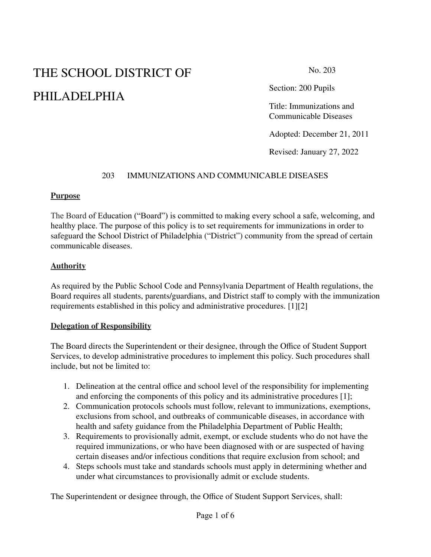# THE SCHOOL DISTRICT OF PHILADELPHIA

No. 203

Section: 200 Pupils

Title: Immunizations and Communicable Diseases

Adopted: December 21, 2011

Revised: January 27, 2022

## 203 IMMUNIZATIONS AND COMMUNICABLE DISEASES

## **Purpose**

The Board of Education ("Board") is committed to making every school a safe, welcoming, and healthy place. The purpose of this policy is to set requirements for immunizations in order to safeguard the School District of Philadelphia ("District") community from the spread of certain communicable diseases.

## **Authority**

As required by the Public School Code and Pennsylvania Department of Health regulations, the Board requires all students, parents/guardians, and District staff to comply with the immunization requirements established in this policy and administrative procedures. [1][2]

## **Delegation of Responsibility**

The Board directs the Superintendent or their designee, through the Office of Student Support Services, to develop administrative procedures to implement this policy. Such procedures shall include, but not be limited to:

- 1. Delineation at the central office and school level of the responsibility for implementing and enforcing the components of this policy and its administrative procedures [1];
- 2. Communication protocols schools must follow, relevant to immunizations, exemptions, exclusions from school, and outbreaks of communicable diseases, in accordance with health and safety guidance from the Philadelphia Department of Public Health;
- 3. Requirements to provisionally admit, exempt, or exclude students who do not have the required immunizations, or who have been diagnosed with or are suspected of having certain diseases and/or infectious conditions that require exclusion from school; and
- 4. Steps schools must take and standards schools must apply in determining whether and under what circumstances to provisionally admit or exclude students.

The Superintendent or designee through, the Office of Student Support Services, shall: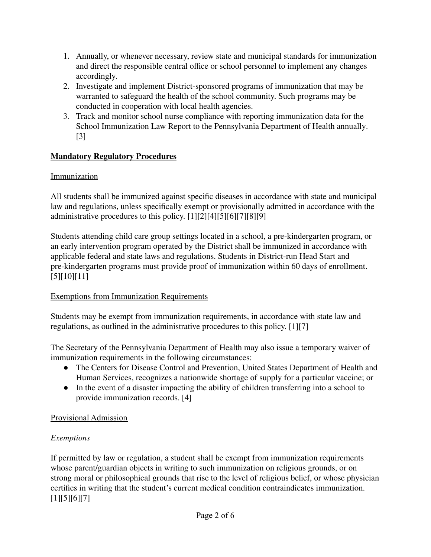- 1. Annually, or whenever necessary, review state and municipal standards for immunization and direct the responsible central office or school personnel to implement any changes accordingly.
- 2. Investigate and implement District-sponsored programs of immunization that may be warranted to safeguard the health of the school community. Such programs may be conducted in cooperation with local health agencies.
- 3. Track and monitor school nurse compliance with reporting immunization data for the School Immunization Law Report to the Pennsylvania Department of Health annually. [3]

# **Mandatory Regulatory Procedures**

# Immunization

All students shall be immunized against specific diseases in accordance with state and municipal law and regulations, unless specifically exempt or provisionally admitted in accordance with the administrative procedures to this policy. [1][2][4][5][6][7][8][9]

Students attending child care group settings located in a school, a pre-kindergarten program, or an early intervention program operated by the District shall be immunized in accordance with applicable federal and state laws and regulations. Students in District-run Head Start and pre-kindergarten programs must provide proof of immunization within 60 days of enrollment. [5][10][11]

# Exemptions from Immunization Requirements

Students may be exempt from immunization requirements, in accordance with state law and regulations, as outlined in the administrative procedures to this policy. [1][7]

The Secretary of the Pennsylvania Department of Health may also issue a temporary waiver of immunization requirements in the following circumstances:

- The Centers for Disease Control and Prevention, United States Department of Health and Human Services, recognizes a nationwide shortage of supply for a particular vaccine; or
- In the event of a disaster impacting the ability of children transferring into a school to provide immunization records. [4]

# Provisional Admission

# *Exemptions*

If permitted by law or regulation, a student shall be exempt from immunization requirements whose parent/guardian objects in writing to such immunization on religious grounds, or on strong moral or philosophical grounds that rise to the level of religious belief, or whose physician certifies in writing that the student's current medical condition contraindicates immunization. [1][5][6][7]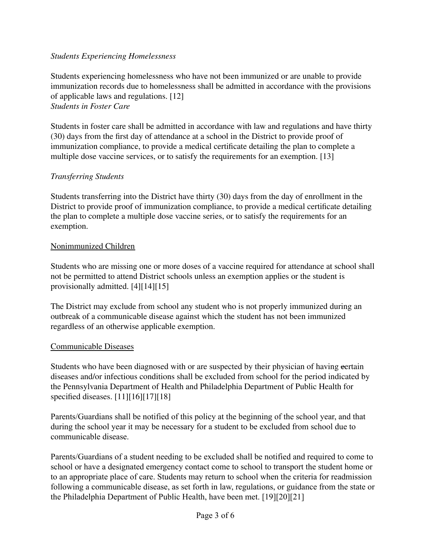## *Students Experiencing Homelessness*

Students experiencing homelessness who have not been immunized or are unable to provide immunization records due to homelessness shall be admitted in accordance with the provisions of applicable laws and regulations. [12] *Students in Foster Care*

Students in foster care shall be admitted in accordance with law and regulations and have thirty (30) days from the first day of attendance at a school in the District to provide proof of immunization compliance, to provide a medical certificate detailing the plan to complete a multiple dose vaccine services, or to satisfy the requirements for an exemption. [13]

## *Transferring Students*

Students transferring into the District have thirty (30) days from the day of enrollment in the District to provide proof of immunization compliance, to provide a medical certificate detailing the plan to complete a multiple dose vaccine series, or to satisfy the requirements for an exemption.

## Nonimmunized Children

Students who are missing one or more doses of a vaccine required for attendance at school shall not be permitted to attend District schools unless an exemption applies or the student is provisionally admitted. [4][14][15]

The District may exclude from school any student who is not properly immunized during an outbreak of a communicable disease against which the student has not been immunized regardless of an otherwise applicable exemption.

## Communicable Diseases

Students who have been diagnosed with or are suspected by their physician of having certain diseases and/or infectious conditions shall be excluded from school for the period indicated by the Pennsylvania Department of Health and Philadelphia Department of Public Health for specified diseases. [11][16][17][18]

Parents/Guardians shall be notified of this policy at the beginning of the school year, and that during the school year it may be necessary for a student to be excluded from school due to communicable disease.

Parents/Guardians of a student needing to be excluded shall be notified and required to come to school or have a designated emergency contact come to school to transport the student home or to an appropriate place of care. Students may return to school when the criteria for readmission following a communicable disease, as set forth in law, regulations, or guidance from the state or the Philadelphia Department of Public Health, have been met. [19][20][21]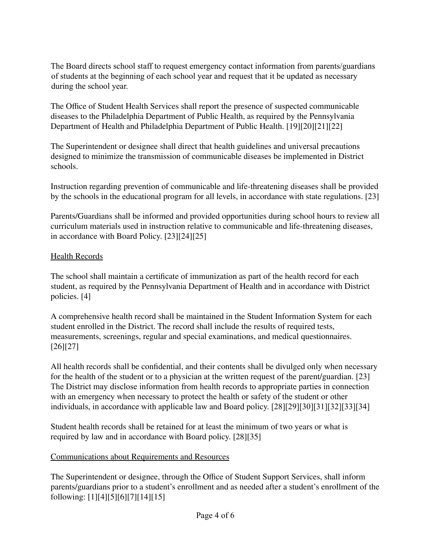The Board directs school staff to request emergency contact information from parents/guardians of students at the beginning of each school year and request that it be updated as necessary during the school year.

The Office of Student Health Services shall report the presence of suspected communicable diseases to the Philadelphia Department of Public Health, as required by the Pennsylvania Department of Health and Philadelphia Department of Public Health. [19][20][21][22]

The Superintendent or designee shall direct that health guidelines and universal precautions designed to minimize the transmission of communicable diseases be implemented in District schools.

Instruction regarding prevention of communicable and life-threatening diseases shall be provided by the schools in the educational program for all levels, in accordance with state regulations. [23]

Parents/Guardians shall be informed and provided opportunities during school hours to review all curriculum materials used in instruction relative to communicable and life-threatening diseases, in accordance with Board Policy. [23][24][25]

# Health Records

The school shall maintain a certificate of immunization as part of the health record for each student, as required by the Pennsylvania Department of Health and in accordance with District policies. [4]

A comprehensive health record shall be maintained in the Student Information System for each student enrolled in the District. The record shall include the results of required tests, measurements, screenings, regular and special examinations, and medical questionnaires. [26][27]

All health records shall be confidential, and their contents shall be divulged only when necessary for the health of the student or to a physician at the written request of the parent/guardian. [23] The District may disclose information from health records to appropriate parties in connection with an emergency when necessary to protect the health or safety of the student or other individuals, in accordance with applicable law and Board policy. [28][29][30][31][32][33][34]

Student health records shall be retained for at least the minimum of two years or what is required by law and in accordance with Board policy. [28][35]

## Communications about Requirements and Resources

The Superintendent or designee, through the Office of Student Support Services, shall inform parents/guardians prior to a student's enrollment and as needed after a student's enrollment of the following: [1][4][5][6][7][14][15]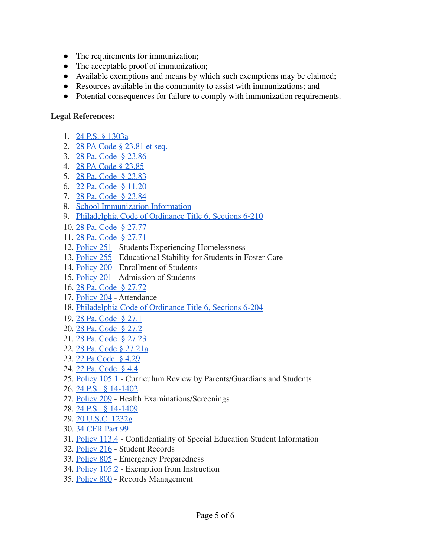- The requirements for immunization;
- The acceptable proof of immunization;
- Available exemptions and means by which such exemptions may be claimed;
- Resources available in the community to assist with immunizations; and
- Potential consequences for failure to comply with immunization requirements.

## **Legal References:**

- 1. 24 P.S. § [1303a](https://www.legis.state.pa.us/cfdocs/legis/LI/uconsCheck.cfm?txtType=HTM&yr=1949&sessInd=0&smthLwInd=0&act=14&chpt=13&sctn=3&subsctn=0)
- 2. 28 PA Code § [23.81](http://www.pacodeandbulletin.gov/Display/pacode?file=/secure/pacode/data/028/chapter23/subchapCtoc.html&d=reduce) et seq.
- 3. 28 Pa. Code § [23.86](http://www.pacodeandbulletin.gov/Display/pacode?file=/secure/pacode/data/028/chapter23/s23.86.html&d=reduce)
- 4. 28 PA Code § [23.85](http://www.pacodeandbulletin.gov/Display/pacode?file=/secure/pacode/data/028/chapter23/chap23toc.html&d=reduce#23.85.)
- 5. 28 Pa. Code § [23.83](http://www.pacodeandbulletin.gov/Display/pacode?file=/secure/pacode/data/028/chapter23/s23.83.html&d=reduce)
- 6. 22 Pa. Code § [11.20](http://www.pacodeandbulletin.gov/Display/pacode?file=/secure/pacode/data/022/chapter11/s11.20.html&d=reduce)
- 7. 28 Pa. Code § [23.84](http://www.pacodeandbulletin.gov/Display/pacode?file=/secure/pacode/data/028/chapter23/s23.84.html&d=reduce)
- 8. School [Immunization](https://www.philasd.org/studenthealth/immunizations/) Information
- 9. Philadelphia Code of Ordinance Title 6, [Sections 6-210](https://codelibrary.amlegal.com/codes/philadelphia/latest/philadelphia_pa/0-0-0-190352)
- 10. 28 Pa. Code § [27.77](http://www.pacodeandbulletin.gov/Display/pacode?file=/secure/pacode/data/028/chapter27/chap27toc.html&d=reduce#27.77.)
- 11. 28 Pa. Code § [27.71](http://www.pacodeandbulletin.gov/Display/pacode?file=/secure/pacode/data/028/chapter27/chap27toc.html&d=reduce#27.71.)
- 12. [Policy](https://www.philasd.org/schoolboard/policies/) 251 Students Experiencing Homelessness
- 13. [Policy](https://www.philasd.org/schoolboard/policies/) 255 Educational Stability for Students in Foster Care
- 14. [Policy](https://www.philasd.org/schoolboard/policies/) 200 Enrollment of Students
- 15. [Policy](https://www.philasd.org/schoolboard/policies/) 201 Admission of Students
- 16. 28 Pa. Code § [27.72](http://www.pacodeandbulletin.gov/Display/pacode?file=/secure/pacode/data/028/chapter27/chap27toc.html&d=reduce)
- 17. [Policy](https://www.philasd.org/schoolboard/policies/) 204 Attendance
- 18. Philadelphia Code of Ordinance Title 6, [Sections 6-204](https://codelibrary.amlegal.com/codes/philadelphia/latest/philadelphia_pa/0-0-0-190326)
- 19. 28 Pa. [Code](http://www.pacodeandbulletin.gov/Display/pacode?file=/secure/pacode/data/028/chapter27/chap27toc.html&d=reduce#27.1.) § 27.1
- 20. 28 Pa. [Code](http://www.pacodeandbulletin.gov/Display/pacode?file=/secure/pacode/data/028/chapter27/chap27toc.html&d=reduce#27.2.) § 27.2
- 21. 28 Pa. Code § [27.23](http://www.pacodeandbulletin.gov/Display/pacode?file=/secure/pacode/data/028/chapter27/chap27toc.html&d=reduce#27.23.)
- 22. 28 Pa. Code § [27.21a](http://www.pacodeandbulletin.gov/Display/pacode?file=/secure/pacode/data/028/chapter27/chap27toc.html&d=reduce#27.21a.)
- 23. 22 Pa [Code](http://www.pacodeandbulletin.gov/Display/pacode?file=/secure/pacode/data/022/chapter4/s4.29.html&d=reduce) § 4.29
- 24. 22 Pa. [Code](http://www.pacodeandbulletin.gov/Display/pacode?file=/secure/pacode/data/022/chapter4/s4.4.html&d=reduce) § 4.4
- 25. [Policy](https://www.philasd.org/schoolboard/policies/) 105.1 Curriculum Review by Parents/Guardians and Students
- 26. 24 P.S. § [14-1402](https://www.legis.state.pa.us/cfdocs/legis/LI/uconsCheck.cfm?txtType=HTM&yr=1949&sessInd=0&smthLwInd=0&act=14&chpt=14&sctn=2&subsctn=0)
- 27. [Policy](https://www.philasd.org/schoolboard/policies/) 209 Health Examinations/Screenings
- 28. 24 P.S. § [14-1409](https://www.legis.state.pa.us/cfdocs/legis/LI/uconsCheck.cfm?txtType=HTM&yr=1949&sessInd=0&smthLwInd=0&act=14&chpt=14&sctn=9&subsctn=0)
- 29. 20 [U.S.C.](https://www.law.cornell.edu/uscode/text/20/1232g) 1232g
- 30. 34 [CFR](https://www.law.cornell.edu/cfr/text/34/part-99) Part 99
- 31. [Policy](https://www.philasd.org/schoolboard/policies/) 113.4 Confidentiality of Special Education Student Information
- 32. [Policy](https://www.philasd.org/schoolboard/policies/) 216 Student Records
- 33. [Policy](https://www.philasd.org/schoolboard/policies/) 805 Emergency Preparedness
- 34. [Policy](https://www.philasd.org/schoolboard/policies/) 105.2 Exemption from Instruction
- 35. [Policy](https://www.philasd.org/schoolboard/policies/) 800 Records Management